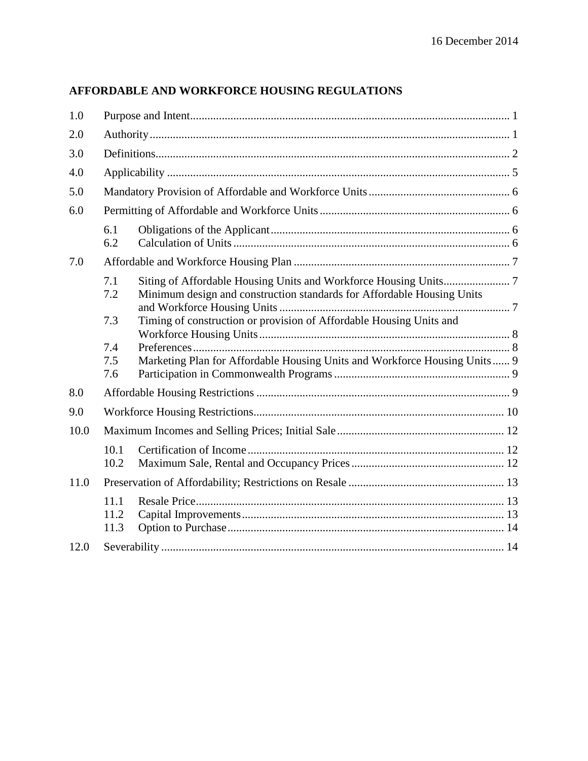# **AFFORDABLE AND WORKFORCE HOUSING REGULATIONS**

| 1.0  |                      |                                                                            |  |
|------|----------------------|----------------------------------------------------------------------------|--|
| 2.0  |                      |                                                                            |  |
| 3.0  |                      |                                                                            |  |
| 4.0  |                      |                                                                            |  |
| 5.0  |                      |                                                                            |  |
| 6.0  |                      |                                                                            |  |
|      | 6.1<br>6.2           |                                                                            |  |
| 7.0  |                      |                                                                            |  |
|      | 7.1<br>7.2           | Minimum design and construction standards for Affordable Housing Units     |  |
|      | 7.3                  | Timing of construction or provision of Affordable Housing Units and        |  |
|      | 7.4                  |                                                                            |  |
|      | 7.5<br>7.6           | Marketing Plan for Affordable Housing Units and Workforce Housing Units  9 |  |
| 8.0  |                      |                                                                            |  |
| 9.0  |                      |                                                                            |  |
| 10.0 |                      |                                                                            |  |
|      | 10.1<br>10.2         |                                                                            |  |
| 11.0 |                      |                                                                            |  |
|      | 11.1<br>11.2<br>11.3 |                                                                            |  |
| 12.0 |                      |                                                                            |  |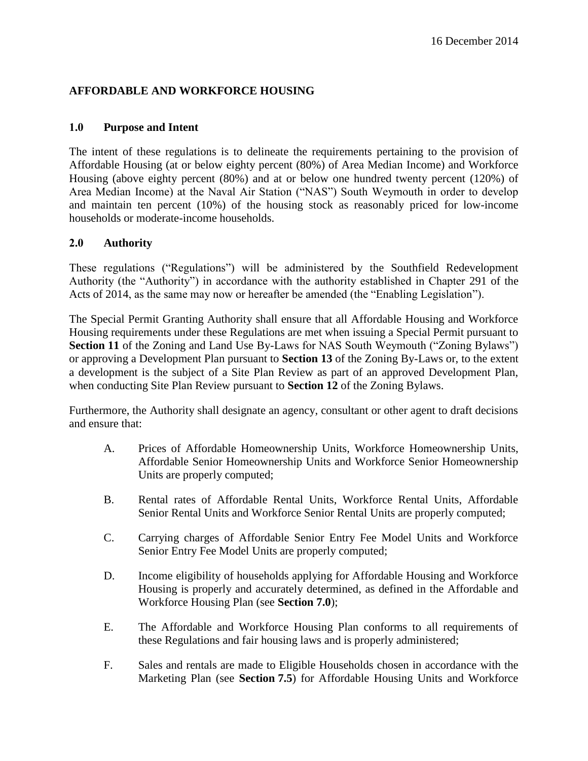# **AFFORDABLE AND WORKFORCE HOUSING**

#### **1.0 Purpose and Intent**

The intent of these regulations is to delineate the requirements pertaining to the provision of Affordable Housing (at or below eighty percent (80%) of Area Median Income) and Workforce Housing (above eighty percent (80%) and at or below one hundred twenty percent (120%) of Area Median Income) at the Naval Air Station ("NAS") South Weymouth in order to develop and maintain ten percent (10%) of the housing stock as reasonably priced for low-income households or moderate-income households.

#### **2.0 Authority**

These regulations ("Regulations") will be administered by the Southfield Redevelopment Authority (the "Authority") in accordance with the authority established in Chapter 291 of the Acts of 2014, as the same may now or hereafter be amended (the "Enabling Legislation").

The Special Permit Granting Authority shall ensure that all Affordable Housing and Workforce Housing requirements under these Regulations are met when issuing a Special Permit pursuant to **Section 11** of the Zoning and Land Use By-Laws for NAS South Weymouth ("Zoning Bylaws") or approving a Development Plan pursuant to **Section 13** of the Zoning By-Laws or, to the extent a development is the subject of a Site Plan Review as part of an approved Development Plan, when conducting Site Plan Review pursuant to **Section 12** of the Zoning Bylaws.

Furthermore, the Authority shall designate an agency, consultant or other agent to draft decisions and ensure that:

- A. Prices of Affordable Homeownership Units, Workforce Homeownership Units, Affordable Senior Homeownership Units and Workforce Senior Homeownership Units are properly computed;
- B. Rental rates of Affordable Rental Units, Workforce Rental Units, Affordable Senior Rental Units and Workforce Senior Rental Units are properly computed;
- C. Carrying charges of Affordable Senior Entry Fee Model Units and Workforce Senior Entry Fee Model Units are properly computed;
- D. Income eligibility of households applying for Affordable Housing and Workforce Housing is properly and accurately determined, as defined in the Affordable and Workforce Housing Plan (see **Section 7.0**);
- E. The Affordable and Workforce Housing Plan conforms to all requirements of these Regulations and fair housing laws and is properly administered;
- F. Sales and rentals are made to Eligible Households chosen in accordance with the Marketing Plan (see **Section 7.5**) for Affordable Housing Units and Workforce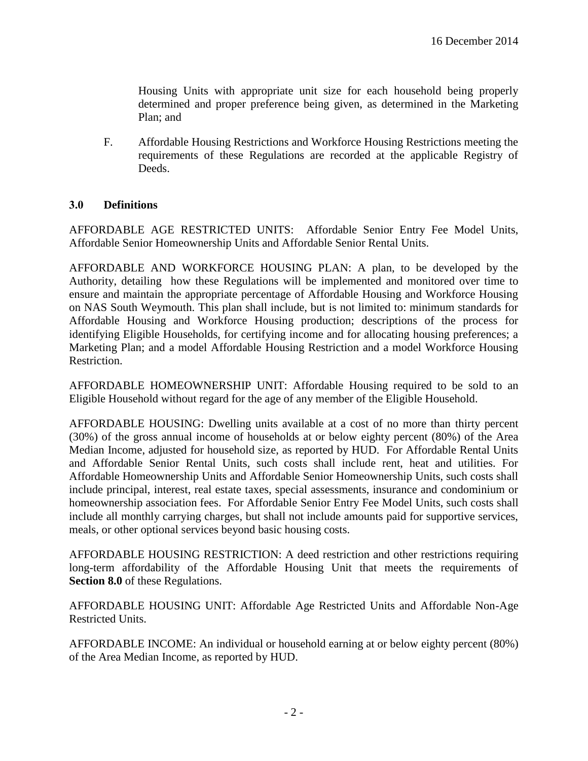Housing Units with appropriate unit size for each household being properly determined and proper preference being given, as determined in the Marketing Plan; and

F. Affordable Housing Restrictions and Workforce Housing Restrictions meeting the requirements of these Regulations are recorded at the applicable Registry of Deeds.

#### **3.0 Definitions**

AFFORDABLE AGE RESTRICTED UNITS: Affordable Senior Entry Fee Model Units, Affordable Senior Homeownership Units and Affordable Senior Rental Units.

AFFORDABLE AND WORKFORCE HOUSING PLAN: A plan, to be developed by the Authority, detailing how these Regulations will be implemented and monitored over time to ensure and maintain the appropriate percentage of Affordable Housing and Workforce Housing on NAS South Weymouth. This plan shall include, but is not limited to: minimum standards for Affordable Housing and Workforce Housing production; descriptions of the process for identifying Eligible Households, for certifying income and for allocating housing preferences; a Marketing Plan; and a model Affordable Housing Restriction and a model Workforce Housing Restriction.

AFFORDABLE HOMEOWNERSHIP UNIT: Affordable Housing required to be sold to an Eligible Household without regard for the age of any member of the Eligible Household.

AFFORDABLE HOUSING: Dwelling units available at a cost of no more than thirty percent (30%) of the gross annual income of households at or below eighty percent (80%) of the Area Median Income, adjusted for household size, as reported by HUD. For Affordable Rental Units and Affordable Senior Rental Units, such costs shall include rent, heat and utilities. For Affordable Homeownership Units and Affordable Senior Homeownership Units, such costs shall include principal, interest, real estate taxes, special assessments, insurance and condominium or homeownership association fees. For Affordable Senior Entry Fee Model Units, such costs shall include all monthly carrying charges, but shall not include amounts paid for supportive services, meals, or other optional services beyond basic housing costs.

AFFORDABLE HOUSING RESTRICTION: A deed restriction and other restrictions requiring long-term affordability of the Affordable Housing Unit that meets the requirements of **Section 8.0** of these Regulations.

AFFORDABLE HOUSING UNIT: Affordable Age Restricted Units and Affordable Non-Age Restricted Units.

AFFORDABLE INCOME: An individual or household earning at or below eighty percent (80%) of the Area Median Income, as reported by HUD.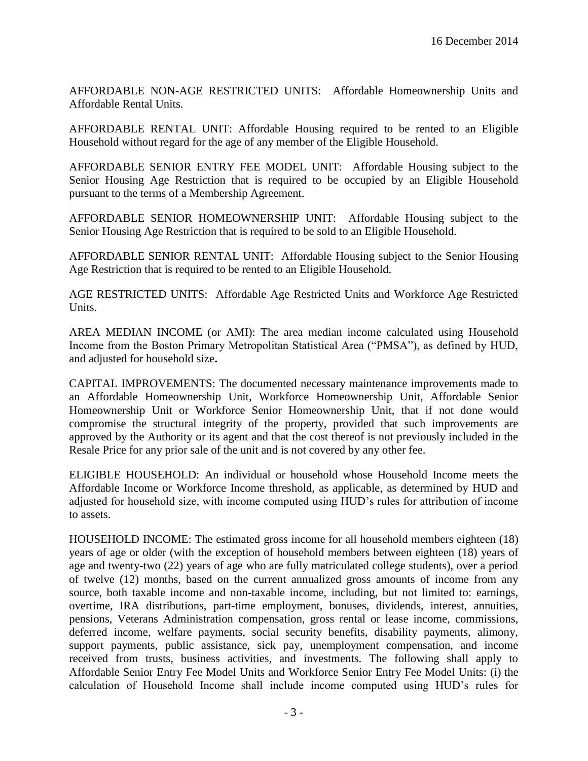AFFORDABLE NON-AGE RESTRICTED UNITS: Affordable Homeownership Units and Affordable Rental Units.

AFFORDABLE RENTAL UNIT: Affordable Housing required to be rented to an Eligible Household without regard for the age of any member of the Eligible Household.

AFFORDABLE SENIOR ENTRY FEE MODEL UNIT: Affordable Housing subject to the Senior Housing Age Restriction that is required to be occupied by an Eligible Household pursuant to the terms of a Membership Agreement.

AFFORDABLE SENIOR HOMEOWNERSHIP UNIT: Affordable Housing subject to the Senior Housing Age Restriction that is required to be sold to an Eligible Household.

AFFORDABLE SENIOR RENTAL UNIT: Affordable Housing subject to the Senior Housing Age Restriction that is required to be rented to an Eligible Household.

AGE RESTRICTED UNITS: Affordable Age Restricted Units and Workforce Age Restricted Units.

AREA MEDIAN INCOME (or AMI): The area median income calculated using Household Income from the Boston Primary Metropolitan Statistical Area ("PMSA"), as defined by HUD, and adjusted for household size**.**

CAPITAL IMPROVEMENTS: The documented necessary maintenance improvements made to an Affordable Homeownership Unit, Workforce Homeownership Unit, Affordable Senior Homeownership Unit or Workforce Senior Homeownership Unit, that if not done would compromise the structural integrity of the property, provided that such improvements are approved by the Authority or its agent and that the cost thereof is not previously included in the Resale Price for any prior sale of the unit and is not covered by any other fee.

ELIGIBLE HOUSEHOLD: An individual or household whose Household Income meets the Affordable Income or Workforce Income threshold, as applicable, as determined by HUD and adjusted for household size, with income computed using HUD's rules for attribution of income to assets.

HOUSEHOLD INCOME: The estimated gross income for all household members eighteen (18) years of age or older (with the exception of household members between eighteen (18) years of age and twenty-two (22) years of age who are fully matriculated college students), over a period of twelve (12) months, based on the current annualized gross amounts of income from any source, both taxable income and non-taxable income, including, but not limited to: earnings, overtime, IRA distributions, part-time employment, bonuses, dividends, interest, annuities, pensions, Veterans Administration compensation, gross rental or lease income, commissions, deferred income, welfare payments, social security benefits, disability payments, alimony, support payments, public assistance, sick pay, unemployment compensation, and income received from trusts, business activities, and investments. The following shall apply to Affordable Senior Entry Fee Model Units and Workforce Senior Entry Fee Model Units: (i) the calculation of Household Income shall include income computed using HUD's rules for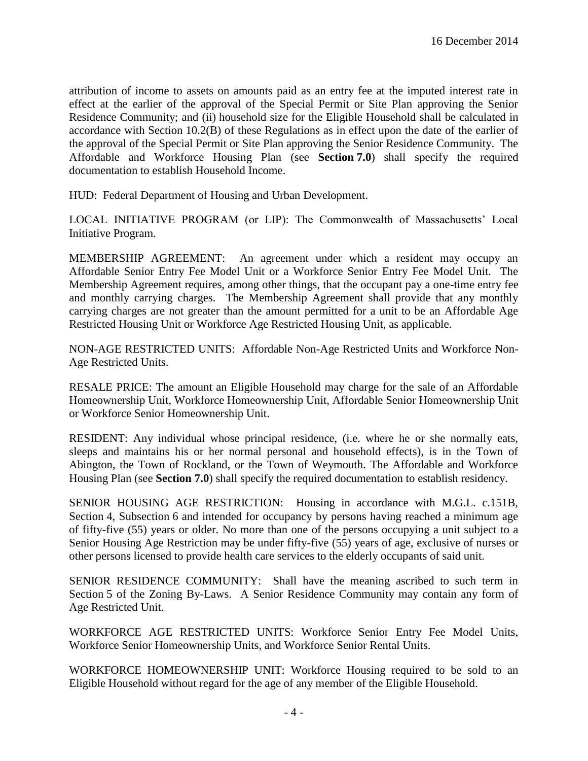attribution of income to assets on amounts paid as an entry fee at the imputed interest rate in effect at the earlier of the approval of the Special Permit or Site Plan approving the Senior Residence Community; and (ii) household size for the Eligible Household shall be calculated in accordance with Section 10.2(B) of these Regulations as in effect upon the date of the earlier of the approval of the Special Permit or Site Plan approving the Senior Residence Community. The Affordable and Workforce Housing Plan (see **Section 7.0**) shall specify the required documentation to establish Household Income.

HUD: Federal Department of Housing and Urban Development.

LOCAL INITIATIVE PROGRAM (or LIP): The Commonwealth of Massachusetts' Local Initiative Program.

MEMBERSHIP AGREEMENT: An agreement under which a resident may occupy an Affordable Senior Entry Fee Model Unit or a Workforce Senior Entry Fee Model Unit. The Membership Agreement requires, among other things, that the occupant pay a one-time entry fee and monthly carrying charges. The Membership Agreement shall provide that any monthly carrying charges are not greater than the amount permitted for a unit to be an Affordable Age Restricted Housing Unit or Workforce Age Restricted Housing Unit, as applicable.

NON-AGE RESTRICTED UNITS: Affordable Non-Age Restricted Units and Workforce Non-Age Restricted Units.

RESALE PRICE: The amount an Eligible Household may charge for the sale of an Affordable Homeownership Unit, Workforce Homeownership Unit, Affordable Senior Homeownership Unit or Workforce Senior Homeownership Unit.

RESIDENT: Any individual whose principal residence, (i.e. where he or she normally eats, sleeps and maintains his or her normal personal and household effects), is in the Town of Abington, the Town of Rockland, or the Town of Weymouth. The Affordable and Workforce Housing Plan (see **Section 7.0**) shall specify the required documentation to establish residency.

SENIOR HOUSING AGE RESTRICTION: Housing in accordance with M.G.L. c.151B, Section 4, Subsection 6 and intended for occupancy by persons having reached a minimum age of fifty-five (55) years or older. No more than one of the persons occupying a unit subject to a Senior Housing Age Restriction may be under fifty-five (55) years of age, exclusive of nurses or other persons licensed to provide health care services to the elderly occupants of said unit.

SENIOR RESIDENCE COMMUNITY: Shall have the meaning ascribed to such term in Section 5 of the Zoning By-Laws. A Senior Residence Community may contain any form of Age Restricted Unit.

WORKFORCE AGE RESTRICTED UNITS: Workforce Senior Entry Fee Model Units, Workforce Senior Homeownership Units, and Workforce Senior Rental Units.

WORKFORCE HOMEOWNERSHIP UNIT: Workforce Housing required to be sold to an Eligible Household without regard for the age of any member of the Eligible Household.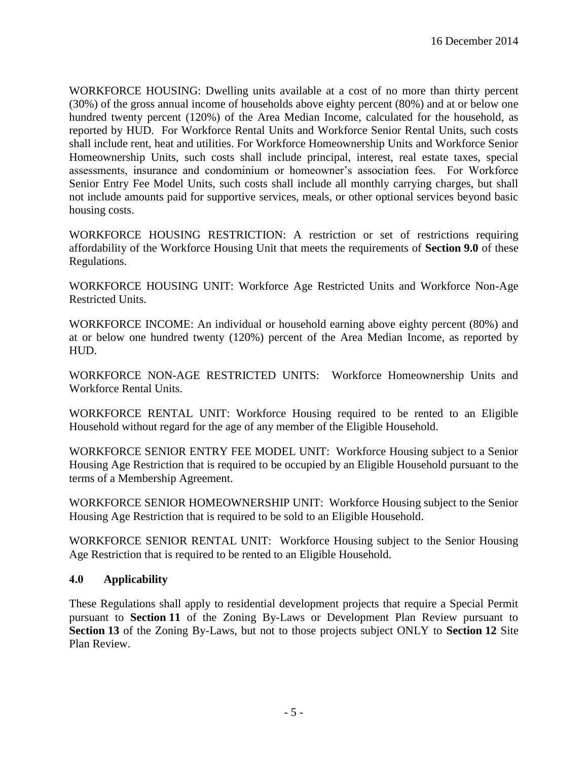WORKFORCE HOUSING: Dwelling units available at a cost of no more than thirty percent (30%) of the gross annual income of households above eighty percent (80%) and at or below one hundred twenty percent (120%) of the Area Median Income, calculated for the household, as reported by HUD. For Workforce Rental Units and Workforce Senior Rental Units, such costs shall include rent, heat and utilities. For Workforce Homeownership Units and Workforce Senior Homeownership Units, such costs shall include principal, interest, real estate taxes, special assessments, insurance and condominium or homeowner's association fees. For Workforce Senior Entry Fee Model Units, such costs shall include all monthly carrying charges, but shall not include amounts paid for supportive services, meals, or other optional services beyond basic housing costs.

WORKFORCE HOUSING RESTRICTION: A restriction or set of restrictions requiring affordability of the Workforce Housing Unit that meets the requirements of **Section 9.0** of these Regulations.

WORKFORCE HOUSING UNIT: Workforce Age Restricted Units and Workforce Non-Age Restricted Units.

WORKFORCE INCOME: An individual or household earning above eighty percent (80%) and at or below one hundred twenty (120%) percent of the Area Median Income, as reported by HUD.

WORKFORCE NON-AGE RESTRICTED UNITS: Workforce Homeownership Units and Workforce Rental Units.

WORKFORCE RENTAL UNIT: Workforce Housing required to be rented to an Eligible Household without regard for the age of any member of the Eligible Household.

WORKFORCE SENIOR ENTRY FEE MODEL UNIT: Workforce Housing subject to a Senior Housing Age Restriction that is required to be occupied by an Eligible Household pursuant to the terms of a Membership Agreement.

WORKFORCE SENIOR HOMEOWNERSHIP UNIT: Workforce Housing subject to the Senior Housing Age Restriction that is required to be sold to an Eligible Household.

WORKFORCE SENIOR RENTAL UNIT: Workforce Housing subject to the Senior Housing Age Restriction that is required to be rented to an Eligible Household.

# **4.0 Applicability**

These Regulations shall apply to residential development projects that require a Special Permit pursuant to **Section 11** of the Zoning By-Laws or Development Plan Review pursuant to **Section 13** of the Zoning By-Laws, but not to those projects subject ONLY to **Section 12** Site Plan Review.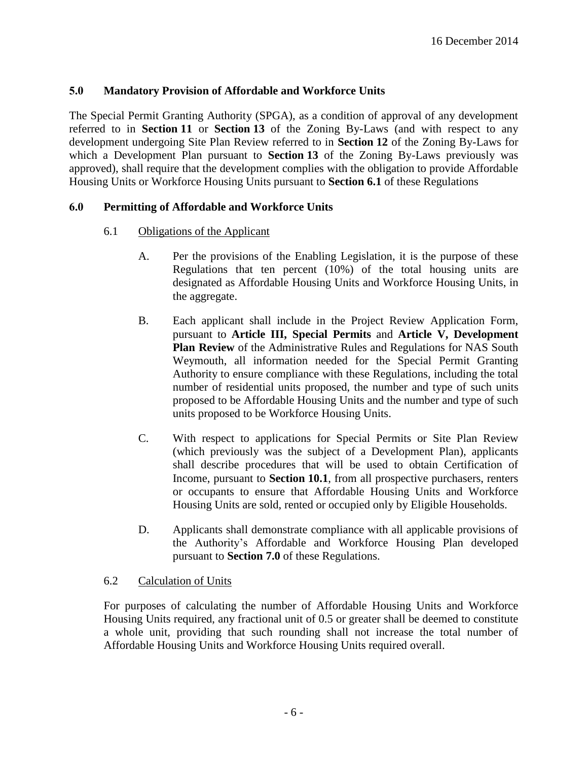#### **5.0 Mandatory Provision of Affordable and Workforce Units**

The Special Permit Granting Authority (SPGA), as a condition of approval of any development referred to in **Section 11** or **Section 13** of the Zoning By-Laws (and with respect to any development undergoing Site Plan Review referred to in **Section 12** of the Zoning By-Laws for which a Development Plan pursuant to **Section 13** of the Zoning By-Laws previously was approved), shall require that the development complies with the obligation to provide Affordable Housing Units or Workforce Housing Units pursuant to **Section 6.1** of these Regulations

#### **6.0 Permitting of Affordable and Workforce Units**

- 6.1 Obligations of the Applicant
	- A. Per the provisions of the Enabling Legislation, it is the purpose of these Regulations that ten percent (10%) of the total housing units are designated as Affordable Housing Units and Workforce Housing Units, in the aggregate.
	- B. Each applicant shall include in the Project Review Application Form, pursuant to **Article III, Special Permits** and **Article V, Development Plan Review** of the Administrative Rules and Regulations for NAS South Weymouth, all information needed for the Special Permit Granting Authority to ensure compliance with these Regulations, including the total number of residential units proposed, the number and type of such units proposed to be Affordable Housing Units and the number and type of such units proposed to be Workforce Housing Units.
	- C. With respect to applications for Special Permits or Site Plan Review (which previously was the subject of a Development Plan), applicants shall describe procedures that will be used to obtain Certification of Income, pursuant to **Section 10.1**, from all prospective purchasers, renters or occupants to ensure that Affordable Housing Units and Workforce Housing Units are sold, rented or occupied only by Eligible Households.
	- D. Applicants shall demonstrate compliance with all applicable provisions of the Authority's Affordable and Workforce Housing Plan developed pursuant to **Section 7.0** of these Regulations.

#### 6.2 Calculation of Units

For purposes of calculating the number of Affordable Housing Units and Workforce Housing Units required, any fractional unit of 0.5 or greater shall be deemed to constitute a whole unit, providing that such rounding shall not increase the total number of Affordable Housing Units and Workforce Housing Units required overall.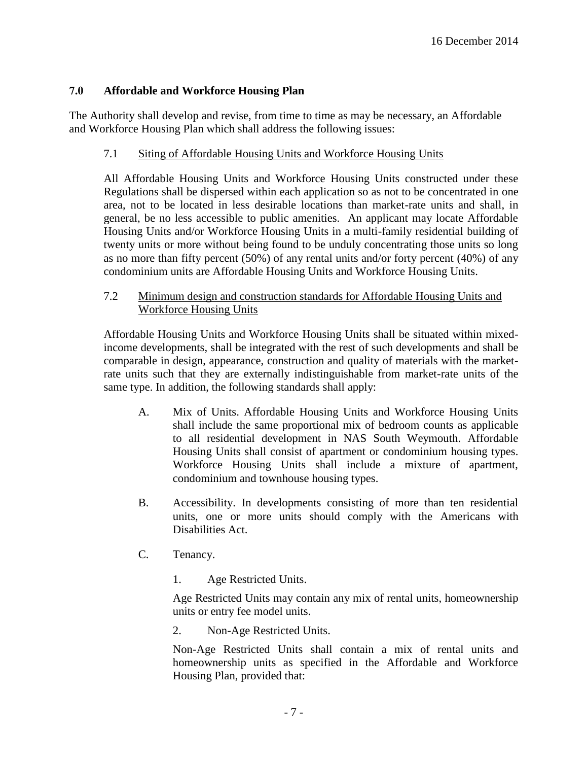# **7.0 Affordable and Workforce Housing Plan**

The Authority shall develop and revise, from time to time as may be necessary, an Affordable and Workforce Housing Plan which shall address the following issues:

#### 7.1 Siting of Affordable Housing Units and Workforce Housing Units

All Affordable Housing Units and Workforce Housing Units constructed under these Regulations shall be dispersed within each application so as not to be concentrated in one area, not to be located in less desirable locations than market-rate units and shall, in general, be no less accessible to public amenities. An applicant may locate Affordable Housing Units and/or Workforce Housing Units in a multi-family residential building of twenty units or more without being found to be unduly concentrating those units so long as no more than fifty percent (50%) of any rental units and/or forty percent (40%) of any condominium units are Affordable Housing Units and Workforce Housing Units.

# 7.2 Minimum design and construction standards for Affordable Housing Units and Workforce Housing Units

Affordable Housing Units and Workforce Housing Units shall be situated within mixedincome developments, shall be integrated with the rest of such developments and shall be comparable in design, appearance, construction and quality of materials with the marketrate units such that they are externally indistinguishable from market-rate units of the same type. In addition, the following standards shall apply:

- A. Mix of Units. Affordable Housing Units and Workforce Housing Units shall include the same proportional mix of bedroom counts as applicable to all residential development in NAS South Weymouth. Affordable Housing Units shall consist of apartment or condominium housing types. Workforce Housing Units shall include a mixture of apartment, condominium and townhouse housing types.
- B. Accessibility. In developments consisting of more than ten residential units, one or more units should comply with the Americans with Disabilities Act.
- C. Tenancy.
	- 1. Age Restricted Units.

Age Restricted Units may contain any mix of rental units, homeownership units or entry fee model units.

2. Non-Age Restricted Units.

Non-Age Restricted Units shall contain a mix of rental units and homeownership units as specified in the Affordable and Workforce Housing Plan, provided that: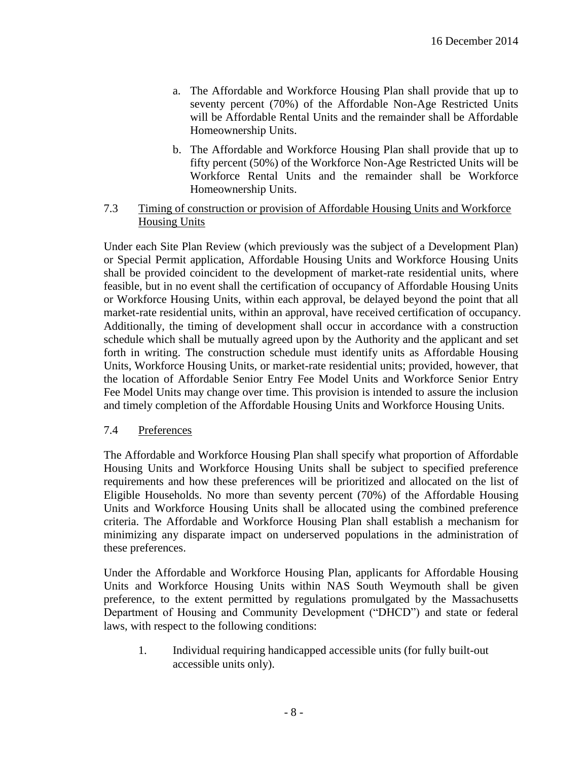- a. The Affordable and Workforce Housing Plan shall provide that up to seventy percent (70%) of the Affordable Non-Age Restricted Units will be Affordable Rental Units and the remainder shall be Affordable Homeownership Units.
- b. The Affordable and Workforce Housing Plan shall provide that up to fifty percent (50%) of the Workforce Non-Age Restricted Units will be Workforce Rental Units and the remainder shall be Workforce Homeownership Units.
- 7.3 Timing of construction or provision of Affordable Housing Units and Workforce Housing Units

Under each Site Plan Review (which previously was the subject of a Development Plan) or Special Permit application, Affordable Housing Units and Workforce Housing Units shall be provided coincident to the development of market-rate residential units, where feasible, but in no event shall the certification of occupancy of Affordable Housing Units or Workforce Housing Units, within each approval, be delayed beyond the point that all market-rate residential units, within an approval, have received certification of occupancy. Additionally, the timing of development shall occur in accordance with a construction schedule which shall be mutually agreed upon by the Authority and the applicant and set forth in writing. The construction schedule must identify units as Affordable Housing Units, Workforce Housing Units, or market-rate residential units; provided, however, that the location of Affordable Senior Entry Fee Model Units and Workforce Senior Entry Fee Model Units may change over time. This provision is intended to assure the inclusion and timely completion of the Affordable Housing Units and Workforce Housing Units.

#### 7.4 Preferences

The Affordable and Workforce Housing Plan shall specify what proportion of Affordable Housing Units and Workforce Housing Units shall be subject to specified preference requirements and how these preferences will be prioritized and allocated on the list of Eligible Households. No more than seventy percent (70%) of the Affordable Housing Units and Workforce Housing Units shall be allocated using the combined preference criteria. The Affordable and Workforce Housing Plan shall establish a mechanism for minimizing any disparate impact on underserved populations in the administration of these preferences.

Under the Affordable and Workforce Housing Plan, applicants for Affordable Housing Units and Workforce Housing Units within NAS South Weymouth shall be given preference, to the extent permitted by regulations promulgated by the Massachusetts Department of Housing and Community Development ("DHCD") and state or federal laws, with respect to the following conditions:

1. Individual requiring handicapped accessible units (for fully built-out accessible units only).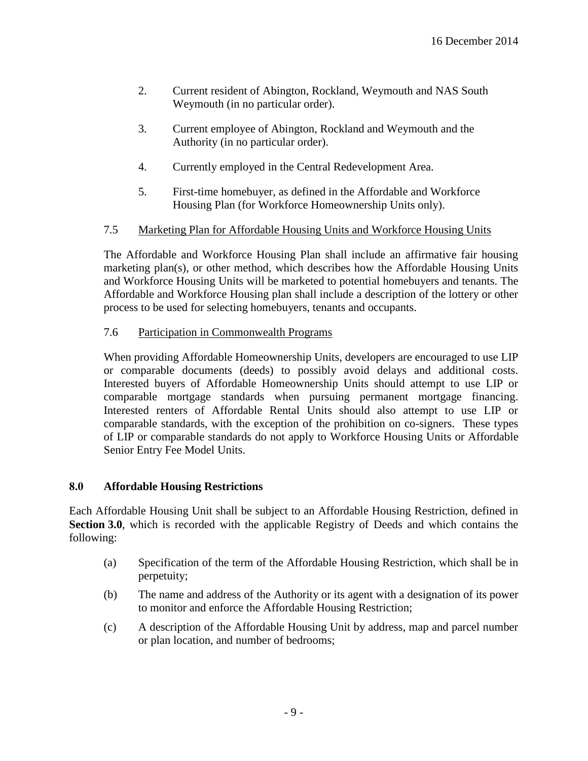- 2. Current resident of Abington, Rockland, Weymouth and NAS South Weymouth (in no particular order).
- 3. Current employee of Abington, Rockland and Weymouth and the Authority (in no particular order).
- 4. Currently employed in the Central Redevelopment Area.
- 5. First-time homebuyer, as defined in the Affordable and Workforce Housing Plan (for Workforce Homeownership Units only).

# 7.5 Marketing Plan for Affordable Housing Units and Workforce Housing Units

The Affordable and Workforce Housing Plan shall include an affirmative fair housing marketing  $plan(s)$ , or other method, which describes how the Affordable Housing Units and Workforce Housing Units will be marketed to potential homebuyers and tenants. The Affordable and Workforce Housing plan shall include a description of the lottery or other process to be used for selecting homebuyers, tenants and occupants.

7.6 Participation in Commonwealth Programs

When providing Affordable Homeownership Units, developers are encouraged to use LIP or comparable documents (deeds) to possibly avoid delays and additional costs. Interested buyers of Affordable Homeownership Units should attempt to use LIP or comparable mortgage standards when pursuing permanent mortgage financing. Interested renters of Affordable Rental Units should also attempt to use LIP or comparable standards, with the exception of the prohibition on co-signers. These types of LIP or comparable standards do not apply to Workforce Housing Units or Affordable Senior Entry Fee Model Units.

# **8.0 Affordable Housing Restrictions**

Each Affordable Housing Unit shall be subject to an Affordable Housing Restriction, defined in **Section 3.0**, which is recorded with the applicable Registry of Deeds and which contains the following:

- (a) Specification of the term of the Affordable Housing Restriction, which shall be in perpetuity;
- (b) The name and address of the Authority or its agent with a designation of its power to monitor and enforce the Affordable Housing Restriction;
- (c) A description of the Affordable Housing Unit by address, map and parcel number or plan location, and number of bedrooms;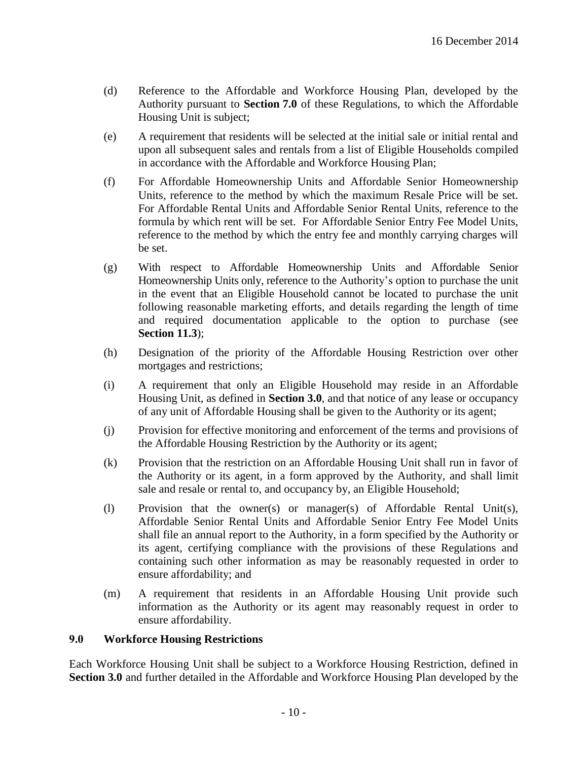- (d) Reference to the Affordable and Workforce Housing Plan, developed by the Authority pursuant to **Section 7.0** of these Regulations, to which the Affordable Housing Unit is subject;
- (e) A requirement that residents will be selected at the initial sale or initial rental and upon all subsequent sales and rentals from a list of Eligible Households compiled in accordance with the Affordable and Workforce Housing Plan;
- (f) For Affordable Homeownership Units and Affordable Senior Homeownership Units, reference to the method by which the maximum Resale Price will be set. For Affordable Rental Units and Affordable Senior Rental Units, reference to the formula by which rent will be set. For Affordable Senior Entry Fee Model Units, reference to the method by which the entry fee and monthly carrying charges will be set.
- (g) With respect to Affordable Homeownership Units and Affordable Senior Homeownership Units only, reference to the Authority's option to purchase the unit in the event that an Eligible Household cannot be located to purchase the unit following reasonable marketing efforts, and details regarding the length of time and required documentation applicable to the option to purchase (see **Section 11.3**);
- (h) Designation of the priority of the Affordable Housing Restriction over other mortgages and restrictions;
- (i) A requirement that only an Eligible Household may reside in an Affordable Housing Unit, as defined in **Section 3.0**, and that notice of any lease or occupancy of any unit of Affordable Housing shall be given to the Authority or its agent;
- (j) Provision for effective monitoring and enforcement of the terms and provisions of the Affordable Housing Restriction by the Authority or its agent;
- (k) Provision that the restriction on an Affordable Housing Unit shall run in favor of the Authority or its agent, in a form approved by the Authority, and shall limit sale and resale or rental to, and occupancy by, an Eligible Household;
- (l) Provision that the owner(s) or manager(s) of Affordable Rental Unit(s), Affordable Senior Rental Units and Affordable Senior Entry Fee Model Units shall file an annual report to the Authority, in a form specified by the Authority or its agent, certifying compliance with the provisions of these Regulations and containing such other information as may be reasonably requested in order to ensure affordability; and
- (m) A requirement that residents in an Affordable Housing Unit provide such information as the Authority or its agent may reasonably request in order to ensure affordability.

# **9.0 Workforce Housing Restrictions**

Each Workforce Housing Unit shall be subject to a Workforce Housing Restriction, defined in **Section 3.0** and further detailed in the Affordable and Workforce Housing Plan developed by the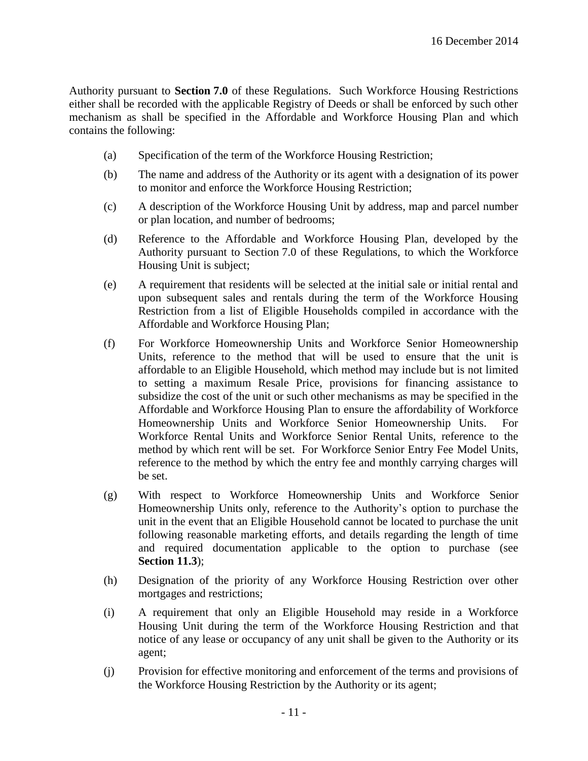Authority pursuant to **Section 7.0** of these Regulations. Such Workforce Housing Restrictions either shall be recorded with the applicable Registry of Deeds or shall be enforced by such other mechanism as shall be specified in the Affordable and Workforce Housing Plan and which contains the following:

- (a) Specification of the term of the Workforce Housing Restriction;
- (b) The name and address of the Authority or its agent with a designation of its power to monitor and enforce the Workforce Housing Restriction;
- (c) A description of the Workforce Housing Unit by address, map and parcel number or plan location, and number of bedrooms;
- (d) Reference to the Affordable and Workforce Housing Plan, developed by the Authority pursuant to Section 7.0 of these Regulations, to which the Workforce Housing Unit is subject;
- (e) A requirement that residents will be selected at the initial sale or initial rental and upon subsequent sales and rentals during the term of the Workforce Housing Restriction from a list of Eligible Households compiled in accordance with the Affordable and Workforce Housing Plan;
- (f) For Workforce Homeownership Units and Workforce Senior Homeownership Units, reference to the method that will be used to ensure that the unit is affordable to an Eligible Household, which method may include but is not limited to setting a maximum Resale Price, provisions for financing assistance to subsidize the cost of the unit or such other mechanisms as may be specified in the Affordable and Workforce Housing Plan to ensure the affordability of Workforce Homeownership Units and Workforce Senior Homeownership Units. For Workforce Rental Units and Workforce Senior Rental Units, reference to the method by which rent will be set. For Workforce Senior Entry Fee Model Units, reference to the method by which the entry fee and monthly carrying charges will be set.
- (g) With respect to Workforce Homeownership Units and Workforce Senior Homeownership Units only, reference to the Authority's option to purchase the unit in the event that an Eligible Household cannot be located to purchase the unit following reasonable marketing efforts, and details regarding the length of time and required documentation applicable to the option to purchase (see **Section 11.3**);
- (h) Designation of the priority of any Workforce Housing Restriction over other mortgages and restrictions;
- (i) A requirement that only an Eligible Household may reside in a Workforce Housing Unit during the term of the Workforce Housing Restriction and that notice of any lease or occupancy of any unit shall be given to the Authority or its agent;
- (j) Provision for effective monitoring and enforcement of the terms and provisions of the Workforce Housing Restriction by the Authority or its agent;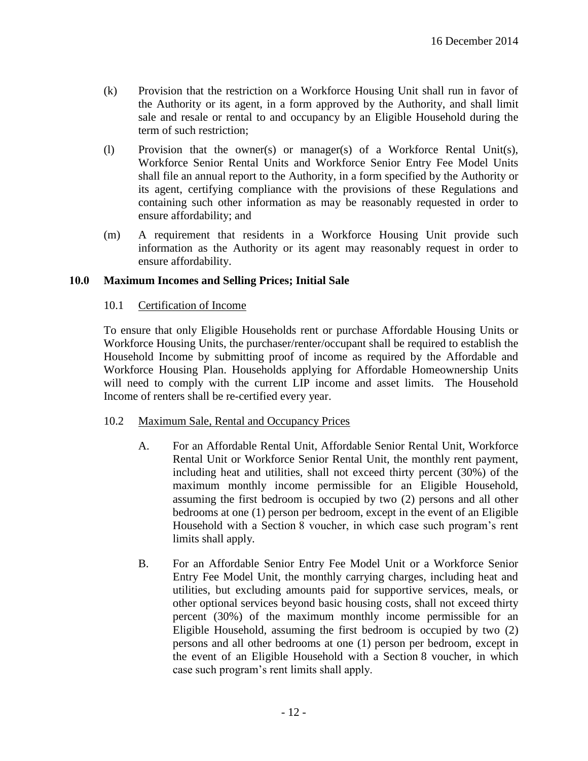- (k) Provision that the restriction on a Workforce Housing Unit shall run in favor of the Authority or its agent, in a form approved by the Authority, and shall limit sale and resale or rental to and occupancy by an Eligible Household during the term of such restriction;
- (l) Provision that the owner(s) or manager(s) of a Workforce Rental Unit(s), Workforce Senior Rental Units and Workforce Senior Entry Fee Model Units shall file an annual report to the Authority, in a form specified by the Authority or its agent, certifying compliance with the provisions of these Regulations and containing such other information as may be reasonably requested in order to ensure affordability; and
- (m) A requirement that residents in a Workforce Housing Unit provide such information as the Authority or its agent may reasonably request in order to ensure affordability.

# **10.0 Maximum Incomes and Selling Prices; Initial Sale**

# 10.1 Certification of Income

To ensure that only Eligible Households rent or purchase Affordable Housing Units or Workforce Housing Units, the purchaser/renter/occupant shall be required to establish the Household Income by submitting proof of income as required by the Affordable and Workforce Housing Plan. Households applying for Affordable Homeownership Units will need to comply with the current LIP income and asset limits. The Household Income of renters shall be re-certified every year.

# 10.2 Maximum Sale, Rental and Occupancy Prices

- A. For an Affordable Rental Unit, Affordable Senior Rental Unit, Workforce Rental Unit or Workforce Senior Rental Unit, the monthly rent payment, including heat and utilities, shall not exceed thirty percent (30%) of the maximum monthly income permissible for an Eligible Household, assuming the first bedroom is occupied by two (2) persons and all other bedrooms at one (1) person per bedroom, except in the event of an Eligible Household with a Section 8 voucher, in which case such program's rent limits shall apply.
- B. For an Affordable Senior Entry Fee Model Unit or a Workforce Senior Entry Fee Model Unit, the monthly carrying charges, including heat and utilities, but excluding amounts paid for supportive services, meals, or other optional services beyond basic housing costs, shall not exceed thirty percent (30%) of the maximum monthly income permissible for an Eligible Household, assuming the first bedroom is occupied by two (2) persons and all other bedrooms at one (1) person per bedroom, except in the event of an Eligible Household with a Section 8 voucher, in which case such program's rent limits shall apply.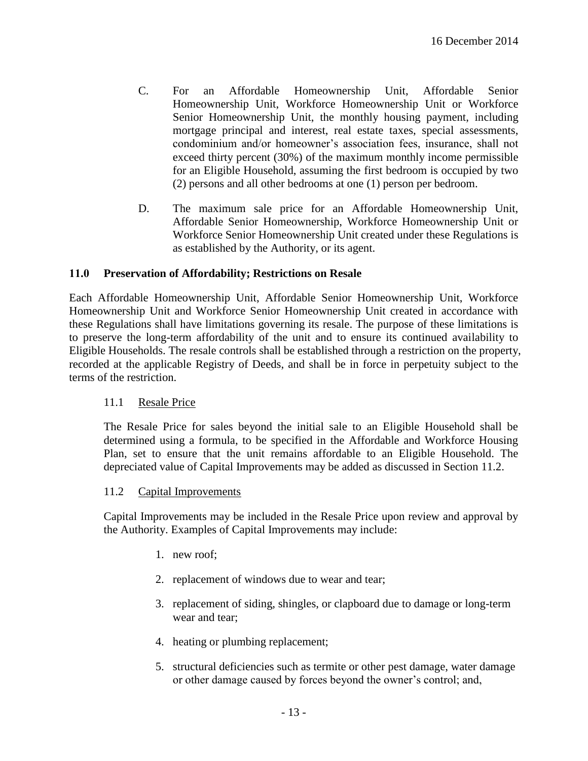- C. For an Affordable Homeownership Unit, Affordable Senior Homeownership Unit, Workforce Homeownership Unit or Workforce Senior Homeownership Unit, the monthly housing payment, including mortgage principal and interest, real estate taxes, special assessments, condominium and/or homeowner's association fees, insurance, shall not exceed thirty percent (30%) of the maximum monthly income permissible for an Eligible Household, assuming the first bedroom is occupied by two (2) persons and all other bedrooms at one (1) person per bedroom.
- D. The maximum sale price for an Affordable Homeownership Unit, Affordable Senior Homeownership, Workforce Homeownership Unit or Workforce Senior Homeownership Unit created under these Regulations is as established by the Authority, or its agent.

# **11.0 Preservation of Affordability; Restrictions on Resale**

Each Affordable Homeownership Unit, Affordable Senior Homeownership Unit, Workforce Homeownership Unit and Workforce Senior Homeownership Unit created in accordance with these Regulations shall have limitations governing its resale. The purpose of these limitations is to preserve the long-term affordability of the unit and to ensure its continued availability to Eligible Households. The resale controls shall be established through a restriction on the property, recorded at the applicable Registry of Deeds, and shall be in force in perpetuity subject to the terms of the restriction.

# 11.1 Resale Price

The Resale Price for sales beyond the initial sale to an Eligible Household shall be determined using a formula, to be specified in the Affordable and Workforce Housing Plan, set to ensure that the unit remains affordable to an Eligible Household. The depreciated value of Capital Improvements may be added as discussed in Section 11.2.

#### 11.2 Capital Improvements

Capital Improvements may be included in the Resale Price upon review and approval by the Authority. Examples of Capital Improvements may include:

- 1. new roof;
- 2. replacement of windows due to wear and tear;
- 3. replacement of siding, shingles, or clapboard due to damage or long-term wear and tear;
- 4. heating or plumbing replacement;
- 5. structural deficiencies such as termite or other pest damage, water damage or other damage caused by forces beyond the owner's control; and,